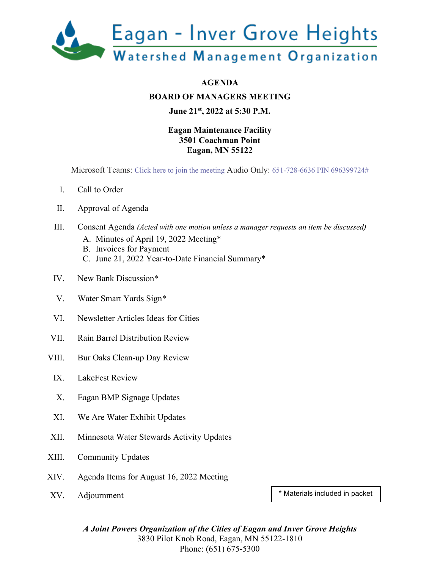

**BOARD OF MANAGERS MEETING**

#### **June 21st, 2022 at 5:30 P.M.**

#### **Eagan Maintenance Facility 3501 Coachman Point Eagan, MN 55122**

Microsoft Teams: [Click here to join the meeting](https://teams.microsoft.com/l/meetup-join/19%3ameeting_YWJkZGEyNmItZjNiZi00ODQxLWFjNDUtYWQyMzZjMDc4NGYx%40thread.v2/0?context=%7b%22Tid%22%3a%221ca836c2-e742-4129-9a1f-4657a6aa2682%22%2c%22Oid%22%3a%228a206ea4-d239-4ba9-b6cd-d9bb3f3dc34a%22%7d) Audio Only: [651-728-6636 PIN 696399724#](tel:+16517286636,,696399724#%20)

- I. Call to Order
- II. Approval of Agenda
- III. Consent Agenda *(Acted with one motion unless a manager requests an item be discussed)*
	- A. Minutes of April 19, 2022 Meeting\*
	- B. Invoices for Payment
	- C. June 21, 2022 Year-to-Date Financial Summary\*
- IV. New Bank Discussion\*
- V. Water Smart Yards Sign\*
- VI. Newsletter Articles Ideas for Cities
- VII. Rain Barrel Distribution Review
- VIII. Bur Oaks Clean-up Day Review
	- IX. LakeFest Review
	- X. Eagan BMP Signage Updates
	- XI. We Are Water Exhibit Updates
- XII. Minnesota Water Stewards Activity Updates
- XIII. Community Updates
- XIV. Agenda Items for August 16, 2022 Meeting
- 

XV. Adjournment  $\begin{array}{|c|c|c|c|c|c|}\n\hline\n\text{XV.} & \text{Adjournment} & \text{Materials included in packet} \\\hline\n\end{array}$ 

*A Joint Powers Organization of the Cities of Eagan and Inver Grove Heights* 3830 Pilot Knob Road, Eagan, MN 55122-1810 Phone: (651) 675-5300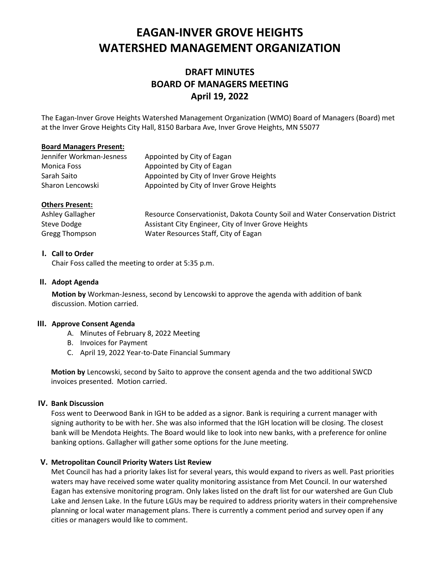## **EAGAN-INVER GROVE HEIGHTS WATERSHED MANAGEMENT ORGANIZATION**

#### **DRAFT MINUTES BOARD OF MANAGERS MEETING April 19, 2022**

The Eagan-Inver Grove Heights Watershed Management Organization (WMO) Board of Managers (Board) met at the Inver Grove Heights City Hall, 8150 Barbara Ave, Inver Grove Heights, MN 55077

#### **Board Managers Present:**

| Jennifer Workman-Jesness | Appointed by City of Eagan               |
|--------------------------|------------------------------------------|
| <b>Monica Foss</b>       | Appointed by City of Eagan               |
| Sarah Saito              | Appointed by City of Inver Grove Heights |
| Sharon Lencowski         | Appointed by City of Inver Grove Heights |

#### **Others Present:**

| Ashley Gallagher | Resource Conservationist, Dakota County Soil and Water Conservation District |
|------------------|------------------------------------------------------------------------------|
| Steve Dodge      | Assistant City Engineer, City of Inver Grove Heights                         |
| Gregg Thompson   | Water Resources Staff, City of Eagan                                         |

#### **I. Call to Order**

Chair Foss called the meeting to order at 5:35 p.m.

#### **II. Adopt Agenda**

**Motion by** Workman-Jesness, second by Lencowski to approve the agenda with addition of bank discussion. Motion carried.

#### **III. Approve Consent Agenda**

- A. Minutes of February 8, 2022 Meeting
- B. Invoices for Payment
- C. April 19, 2022 Year-to-Date Financial Summary

**Motion by** Lencowski, second by Saito to approve the consent agenda and the two additional SWCD invoices presented. Motion carried.

#### **IV. Bank Discussion**

Foss went to Deerwood Bank in IGH to be added as a signor. Bank is requiring a current manager with signing authority to be with her. She was also informed that the IGH location will be closing. The closest bank will be Mendota Heights. The Board would like to look into new banks, with a preference for online banking options. Gallagher will gather some options for the June meeting.

#### **V. Metropolitan Council Priority Waters List Review**

Met Council has had a priority lakes list for several years, this would expand to rivers as well. Past priorities waters may have received some water quality monitoring assistance from Met Council. In our watershed Eagan has extensive monitoring program. Only lakes listed on the draft list for our watershed are Gun Club Lake and Jensen Lake. In the future LGUs may be required to address priority waters in their comprehensive planning or local water management plans. There is currently a comment period and survey open if any cities or managers would like to comment.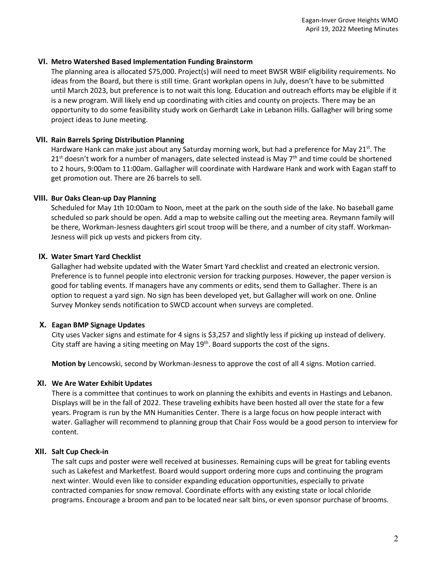#### **VI. Metro Watershed Based Implementation Funding Brainstorm**

The planning area is allocated \$75,000. Project(s) will need to meet BWSR WBIF eligibility requirements. No ideas from the Board, but there is still time. Grant workplan opens in July, doesn't have to be submitted until March 2023, but preference is to not wait this long. Education and outreach efforts may be eligible if it is a new program. Will likely end up coordinating with cities and county on projects. There may be an opportunity to do some feasibility study work on Gerhardt Lake in Lebanon Hills. Gallagher will bring some project ideas to June meeting.

#### **VII. Rain Barrels Spring Distribution Planning**

Hardware Hank can make just about any Saturday morning work, but had a preference for May 21<sup>st</sup>. The  $21<sup>st</sup>$  doesn't work for a number of managers, date selected instead is May 7<sup>th</sup> and time could be shortened to 2 hours, 9:00am to 11:00am. Gallagher will coordinate with Hardware Hank and work with Eagan staff to get promotion out. There are 26 barrels to sell.

#### **VIII. Bur Oaks Clean-up Day Planning**

Scheduled for May 1th 10:00am to Noon, meet at the park on the south side of the lake. No baseball game scheduled so park should be open. Add a map to website calling out the meeting area. Reymann family will be there, Workman-Jesness daughters girl scout troop will be there, and a number of city staff. Workman-Jesness will pick up vests and pickers from city.

#### **IX. Water Smart Yard Checklist**

Gallagher had website updated with the Water Smart Yard checklist and created an electronic version. Preference is to funnel people into electronic version for tracking purposes. However, the paper version is good for tabling events. If managers have any comments or edits, send them to Gallagher. There is an option to request a yard sign. No sign has been developed yet, but Gallagher will work on one. Online Survey Monkey sends notification to SWCD account when surveys are completed.

#### **X. Eagan BMP Signage Updates**

City uses Vacker signs and estimate for 4 signs is \$3,257 and slightly less if picking up instead of delivery. City staff are having a siting meeting on May  $19<sup>th</sup>$ . Board supports the cost of the signs.

**Motion by** Lencowski, second by Workman-Jesness to approve the cost of all 4 signs. Motion carried.

#### **XI. We Are Water Exhibit Updates**

There is a committee that continues to work on planning the exhibits and events in Hastings and Lebanon. Displays will be in the fall of 2022. These traveling exhibits have been hosted all over the state for a few years. Program is run by the MN Humanities Center. There is a large focus on how people interact with water. Gallagher will recommend to planning group that Chair Foss would be a good person to interview for content.

#### **XII. Salt Cup Check-in**

The salt cups and poster were well received at businesses. Remaining cups will be great for tabling events such as Lakefest and Marketfest. Board would support ordering more cups and continuing the program next winter. Would even like to consider expanding education opportunities, especially to private contracted companies for snow removal. Coordinate efforts with any existing state or local chloride programs. Encourage a broom and pan to be located near salt bins, or even sponsor purchase of brooms.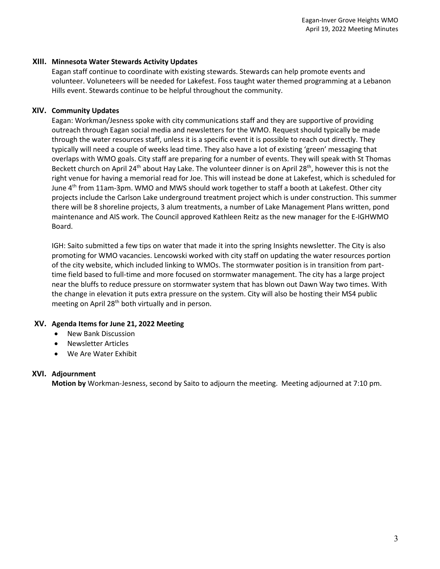#### **XIII. Minnesota Water Stewards Activity Updates**

Eagan staff continue to coordinate with existing stewards. Stewards can help promote events and volunteer. Voluneteers will be needed for Lakefest. Foss taught water themed programming at a Lebanon Hills event. Stewards continue to be helpful throughout the community.

#### **XIV. Community Updates**

Eagan: Workman/Jesness spoke with city communications staff and they are supportive of providing outreach through Eagan social media and newsletters for the WMO. Request should typically be made through the water resources staff, unless it is a specific event it is possible to reach out directly. They typically will need a couple of weeks lead time. They also have a lot of existing 'green' messaging that overlaps with WMO goals. City staff are preparing for a number of events. They will speak with St Thomas Beckett church on April 24<sup>th</sup> about Hay Lake. The volunteer dinner is on April 28<sup>th</sup>, however this is not the right venue for having a memorial read for Joe. This will instead be done at Lakefest, which is scheduled for June 4<sup>th</sup> from 11am-3pm. WMO and MWS should work together to staff a booth at Lakefest. Other city projects include the Carlson Lake underground treatment project which is under construction. This summer there will be 8 shoreline projects, 3 alum treatments, a number of Lake Management Plans written, pond maintenance and AIS work. The Council approved Kathleen Reitz as the new manager for the E-IGHWMO Board.

IGH: Saito submitted a few tips on water that made it into the spring Insights newsletter. The City is also promoting for WMO vacancies. Lencowski worked with city staff on updating the water resources portion of the city website, which included linking to WMOs. The stormwater position is in transition from parttime field based to full-time and more focused on stormwater management. The city has a large project near the bluffs to reduce pressure on stormwater system that has blown out Dawn Way two times. With the change in elevation it puts extra pressure on the system. City will also be hosting their MS4 public meeting on April 28<sup>th</sup> both virtually and in person.

#### **XV. Agenda Items for June 21, 2022 Meeting**

- New Bank Discussion
- Newsletter Articles
- We Are Water Exhibit

#### **XVI. Adjournment**

**Motion by** Workman-Jesness, second by Saito to adjourn the meeting. Meeting adjourned at 7:10 pm.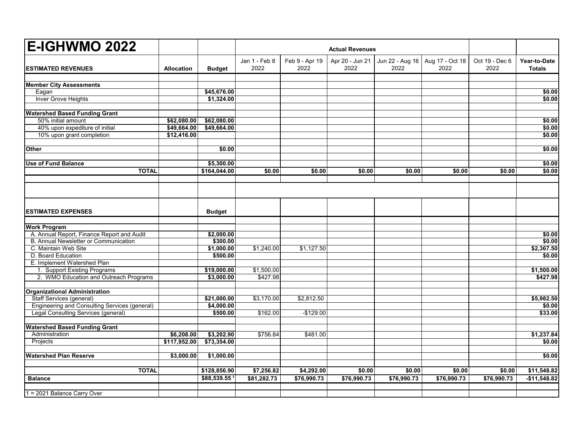| <b>E-IGHWMO 2022</b>                                 |                   |               | <b>Actual Revenues</b> |                        |                         |                         |                         |                        |                               |
|------------------------------------------------------|-------------------|---------------|------------------------|------------------------|-------------------------|-------------------------|-------------------------|------------------------|-------------------------------|
| <b>ESTIMATED REVENUES</b>                            | <b>Allocation</b> | <b>Budget</b> | Jan 1 - Feb 8<br>2022  | Feb 9 - Apr 19<br>2022 | Apr 20 - Jun 21<br>2022 | Jun 22 - Aug 16<br>2022 | Aug 17 - Oct 18<br>2022 | Oct 19 - Dec 6<br>2022 | Year-to-Date<br><b>Totals</b> |
| <b>Member City Assessments</b>                       |                   |               |                        |                        |                         |                         |                         |                        |                               |
| Eagan                                                |                   | \$45,676.00   |                        |                        |                         |                         |                         |                        | \$0.00                        |
| <b>Inver Grove Heights</b>                           |                   | \$1,324.00    |                        |                        |                         |                         |                         |                        | \$0.00                        |
| <b>Watershed Based Funding Grant</b>                 |                   |               |                        |                        |                         |                         |                         |                        |                               |
| 50% initial amount                                   | \$62,080.00       | \$62,080.00   |                        |                        |                         |                         |                         |                        | \$0.00                        |
| 40% upon expediture of initial                       | \$49,664.00       | \$49,664.00   |                        |                        |                         |                         |                         |                        | \$0.00                        |
| 10% upon grant completion                            | \$12,416.00       |               |                        |                        |                         |                         |                         |                        | \$0.00                        |
| <b>Other</b>                                         |                   | \$0.00        |                        |                        |                         |                         |                         |                        | \$0.00                        |
| <b>Use of Fund Balance</b>                           |                   | \$5,300.00    |                        |                        |                         |                         |                         |                        | \$0.00                        |
| <b>TOTAL</b>                                         |                   | \$164,044.00  | \$0.00                 | \$0.00                 | \$0.00                  | \$0.00                  | \$0.00                  | \$0.00                 | \$0.00                        |
|                                                      |                   |               |                        |                        |                         |                         |                         |                        |                               |
|                                                      |                   |               |                        |                        |                         |                         |                         |                        |                               |
| <b>ESTIMATED EXPENSES</b>                            |                   | <b>Budget</b> |                        |                        |                         |                         |                         |                        |                               |
| <b>Work Program</b>                                  |                   |               |                        |                        |                         |                         |                         |                        |                               |
| A. Annual Report, Finance Report and Audit           |                   | \$2,000.00    |                        |                        |                         |                         |                         |                        | \$0.00                        |
| B. Annual Newsletter or Communication                |                   | \$300.00      |                        |                        |                         |                         |                         |                        | \$0.00                        |
| C. Maintain Web Site                                 |                   | \$1,000.00    | \$1,240.00             | \$1,127.50             |                         |                         |                         |                        | \$2,367.50                    |
| D. Board Education                                   |                   | \$500.00      |                        |                        |                         |                         |                         |                        | \$0.00                        |
| E. Implement Watershed Plan                          |                   |               |                        |                        |                         |                         |                         |                        |                               |
| 1. Support Existing Programs                         |                   | \$19,000.00   | \$1,500.00             |                        |                         |                         |                         |                        | \$1,500.00                    |
| 2. WMO Education and Outreach Programs               |                   | \$3,000.00    | \$427.98               |                        |                         |                         |                         |                        | \$427.98                      |
| <b>Organizational Administration</b>                 |                   |               |                        |                        |                         |                         |                         |                        |                               |
| <b>Staff Services (general)</b>                      |                   | \$21,000.00   | \$3,170.00             | \$2,812.50             |                         |                         |                         |                        | \$5,982.50                    |
| <b>Engineering and Consulting Services (general)</b> |                   | \$4,000.00    |                        |                        |                         |                         |                         |                        | \$0.00                        |
| <b>Legal Consulting Services (general)</b>           |                   | \$500.00      | \$162.00               | $-$129.00$             |                         |                         |                         |                        | \$33.00                       |
| <b>Watershed Based Funding Grant</b>                 |                   |               |                        |                        |                         |                         |                         |                        |                               |
| Administration                                       | \$6,208.00        | \$3,202.90    | \$756.84               | \$481.00               |                         |                         |                         |                        | \$1,237.84                    |
| Projects                                             | \$117,952.00      | \$73,354.00   |                        |                        |                         |                         |                         |                        | \$0.00                        |
| <b>Watershed Plan Reserve</b>                        | \$3,000.00        | \$1,000.00    |                        |                        |                         |                         |                         |                        | \$0.00                        |
| <b>TOTAL</b>                                         |                   | \$128,856.90  | \$7,256.82             | \$4,292.00             | \$0.00                  | \$0.00                  | \$0.00                  | \$0.00                 | \$11,548.82                   |
| <b>Balance</b>                                       |                   | \$88,539.55   | \$81,282.73            | \$76,990.73            | \$76,990.73             | \$76,990.73             | \$76,990.73             | \$76,990.73            | $-$11,548.82$                 |
| 1 = 2021 Balance Carry Over                          |                   |               |                        |                        |                         |                         |                         |                        |                               |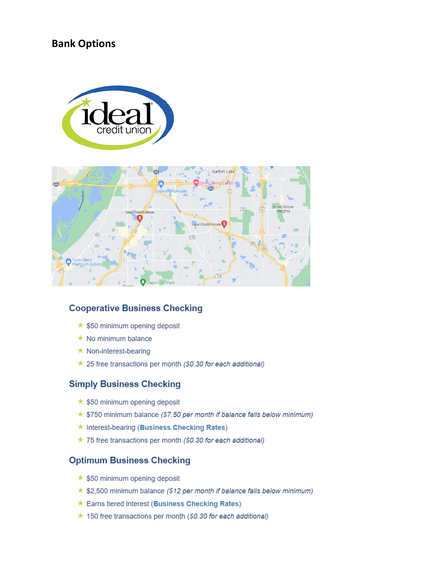### **Bank Options**





#### **Cooperative Business Checking**

- $\star$  \$50 minimum opening deposit
- $\star$  No minimum balance
- $\star$  Non-interest-bearing
- $\star$  25 free transactions per month (\$0.30 for each additional)

#### **Simply Business Checking**

- $\star$  \$50 minimum opening deposit
- $\star$  \$750 minimum balance (\$7.50 per month if balance falls below minimum)
- ★ Interest-bearing (Business Checking Rates)
- $\star$  75 free transactions per month (\$0.30 for each additional)

#### **Optimum Business Checking**

- $\star$  \$50 minimum opening deposit
- $\star$  \$2,500 minimum balance (\$12 per month if balance falls below minimum)
- ★ Earns tiered interest (Business Checking Rates)
- $\star$  150 free transactions per month (\$0.30 for each additional)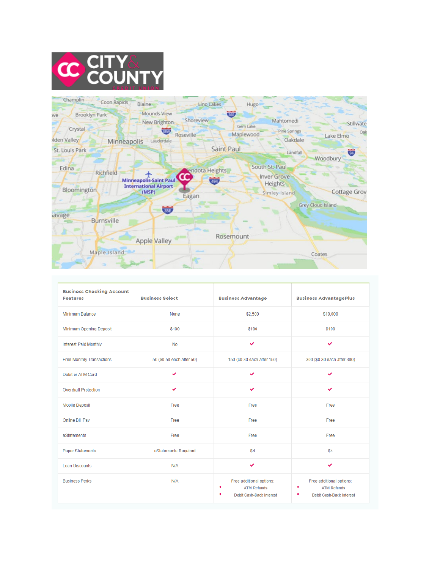



| <b>Business Checking Account</b><br><b>Features</b> | <b>Business Select</b>    | <b>Business Advantage</b>                                                       | <b>Business AdvantagePlus</b>                                              |
|-----------------------------------------------------|---------------------------|---------------------------------------------------------------------------------|----------------------------------------------------------------------------|
| Minimum Balance                                     | None                      | \$2,500                                                                         | \$10,000                                                                   |
| Minimum Opening Deposit                             | \$100                     | \$100                                                                           | \$100                                                                      |
| <b>Interest Paid Monthly</b>                        | <b>No</b>                 | v                                                                               | $\checkmark$                                                               |
| <b>Free Monthly Transactions</b>                    | 50 (\$0.50 each after 50) | 150 (\$0.30 each after 150)                                                     | 300 (\$0.30 each after 300)                                                |
| Debit or ATM Card                                   | ◡                         | v                                                                               | $\checkmark$                                                               |
| <b>Overdraft Protection</b>                         | ✓                         | ✓                                                                               | ✓                                                                          |
| <b>Mobile Deposit</b>                               | Free                      | Free                                                                            | Free                                                                       |
| Online Bill Pay                                     | Free                      | Free                                                                            | Free                                                                       |
| eStatements                                         | Free                      | Free                                                                            | Free                                                                       |
| <b>Paper Statements</b>                             | eStatements Required      | \$4                                                                             | \$4                                                                        |
| <b>Loan Discounts</b>                               | N/A                       | v                                                                               | $\checkmark$                                                               |
| <b>Business Perks</b>                               | N/A                       | Free additional options:<br>٠<br><b>ATM Refunds</b><br>Debit Cash-Back Interest | Free additional options:<br><b>ATM Refunds</b><br>Debit Cash-Back Interest |